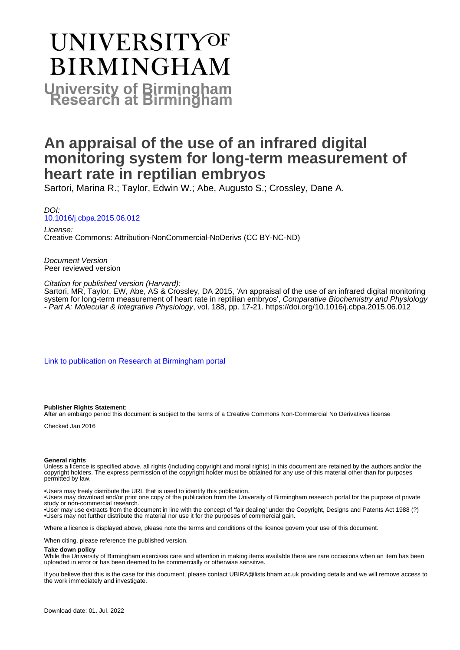# **UNIVERSITYOF BIRMINGHAM University of Birmingham**

# **An appraisal of the use of an infrared digital monitoring system for long-term measurement of heart rate in reptilian embryos**

Sartori, Marina R.; Taylor, Edwin W.; Abe, Augusto S.; Crossley, Dane A.

DOI: [10.1016/j.cbpa.2015.06.012](https://doi.org/10.1016/j.cbpa.2015.06.012)

License: Creative Commons: Attribution-NonCommercial-NoDerivs (CC BY-NC-ND)

Document Version Peer reviewed version

Citation for published version (Harvard):

Sartori, MR, Taylor, EW, Abe, AS & Crossley, DA 2015, 'An appraisal of the use of an infrared digital monitoring system for long-term measurement of heart rate in reptilian embryos', Comparative Biochemistry and Physiology - Part A: Molecular & Integrative Physiology, vol. 188, pp. 17-21. <https://doi.org/10.1016/j.cbpa.2015.06.012>

[Link to publication on Research at Birmingham portal](https://birmingham.elsevierpure.com/en/publications/921fa7a2-cab3-44fe-b49d-f70869e5aeb2)

**Publisher Rights Statement:**

After an embargo period this document is subject to the terms of a Creative Commons Non-Commercial No Derivatives license

Checked Jan 2016

#### **General rights**

Unless a licence is specified above, all rights (including copyright and moral rights) in this document are retained by the authors and/or the copyright holders. The express permission of the copyright holder must be obtained for any use of this material other than for purposes permitted by law.

• Users may freely distribute the URL that is used to identify this publication.

• Users may download and/or print one copy of the publication from the University of Birmingham research portal for the purpose of private study or non-commercial research.

• User may use extracts from the document in line with the concept of 'fair dealing' under the Copyright, Designs and Patents Act 1988 (?) • Users may not further distribute the material nor use it for the purposes of commercial gain.

Where a licence is displayed above, please note the terms and conditions of the licence govern your use of this document.

When citing, please reference the published version.

**Take down policy**

While the University of Birmingham exercises care and attention in making items available there are rare occasions when an item has been uploaded in error or has been deemed to be commercially or otherwise sensitive.

If you believe that this is the case for this document, please contact UBIRA@lists.bham.ac.uk providing details and we will remove access to the work immediately and investigate.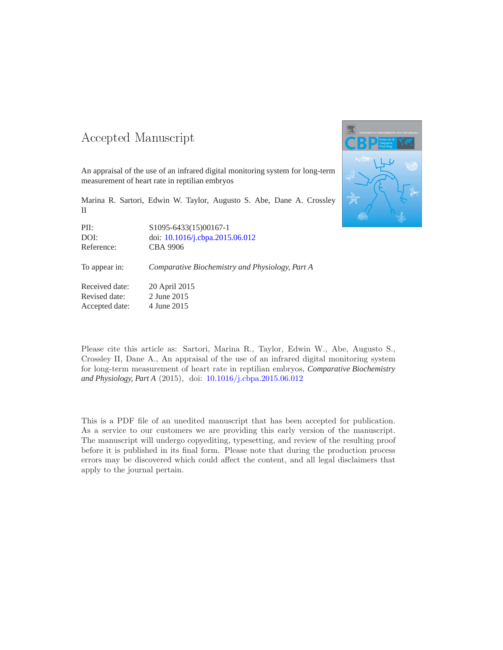### -- -

An appraisal of the use of an infrared digital monitoring system for long-term measurement of heart rate in reptilian embryos

Marina R. Sartori, Edwin W. Taylor, Augusto S. Abe, Dane A. Crossley II

PII: S1095-6433(15)00167-1 DOI: doi: [10.1016/j.cbpa.2015.06.012](http://dx.doi.org/10.1016/j.cbpa.2015.06.012) Reference: CBA 9906

To appear in: *Comparative Biochemistry and Physiology, Part A*

Received date: 20 April 2015 Revised date: 2 June 2015 Accepted date: 4 June 2015



Please cite this article as: Sartori, Marina R., Taylor, Edwin W., Abe, Augusto S., Crossley II, Dane A., An appraisal of the use of an infrared digital monitoring system for long-term measurement of heart rate in reptilian embryos, *Comparative Biochemistry and Physiology, Part A* (2015), doi: [10.1016/j.cbpa.2015.06.012](http://dx.doi.org/10.1016/j.cbpa.2015.06.012)

This is a PDF file of an unedited manuscript that has been accepted for publication. As a service to our customers we are providing this early version of the manuscript. The manuscript will undergo copyediting, typesetting, and review of the resulting proof before it is published in its final form. Please note that during the production process errors may be discovered which could affect the content, and all legal disclaimers that apply to the journal pertain.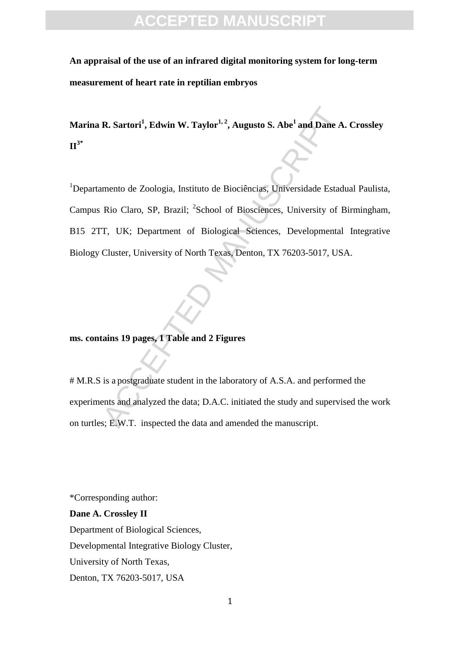**An appraisal of the use of an infrared digital monitoring system for long-term measurement of heart rate in reptilian embryos** 

**Marina R. Sartori<sup>1</sup> , Edwin W. Taylor1, 2 , Augusto S. Abe<sup>1</sup> and Dane A. Crossley II3\***

R. Sartori<sup>1</sup>, Edwin W. Taylor<sup>1,2</sup>, Augusto S. Abe<sup>1</sup> and Dane A<br>
mento de Zoologia, Instituto de Biociências, Universidade Estad<br>
Rio Claro, SP, Brazil; <sup>2</sup>School of Biosciences, University of E<br>
T. UK; Department of Bio <sup>1</sup>Departamento de Zoologia, Instituto de Biociências, Universidade Estadual Paulista, Campus Rio Claro, SP, Brazil; <sup>2</sup>School of Biosciences, University of Birmingham, B15 2TT, UK; Department of Biological Sciences, Developmental Integrative Biology Cluster, University of North Texas, Denton, TX 76203-5017, USA.

### **ms. contains 19 pages, 1 Table and 2 Figures**

# M.R.S is a postgraduate student in the laboratory of A.S.A. and performed the experiments and analyzed the data; D.A.C. initiated the study and supervised the work on turtles; E.W.T. inspected the data and amended the manuscript.

\*Corresponding author:

**Dane A. Crossley II**  Department of Biological Sciences, Developmental Integrative Biology Cluster, University of North Texas, Denton, TX 76203-5017, USA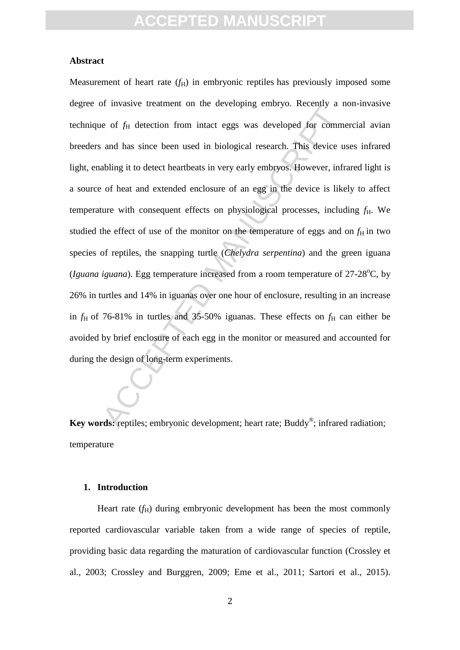### **Abstract**

A must be detection from intact eggs was developed for comm<br>and has since been used in biological research. This device u<br>abling it to detect heartbeats in very early embryos. However, infr<br>of heat and extended enclosure Measurement of heart rate  $(f_H)$  in embryonic reptiles has previously imposed some degree of invasive treatment on the developing embryo. Recently a non-invasive technique of  $f_H$  detection from intact eggs was developed for commercial avian breeders and has since been used in biological research. This device uses infrared light, enabling it to detect heartbeats in very early embryos. However, infrared light is a source of heat and extended enclosure of an egg in the device is likely to affect temperature with consequent effects on physiological processes, including  $f_H$ . We studied the effect of use of the monitor on the temperature of eggs and on  $f_H$  in two species of reptiles, the snapping turtle (*Chelydra serpentina*) and the green iguana (*Iguana iguana*). Egg temperature increased from a room temperature of  $27-28^{\circ}$ C, by 26% in turtles and 14% in iguanas over one hour of enclosure, resulting in an increase in  $f_H$  of 76-81% in turtles and 35-50% iguanas. These effects on  $f_H$  can either be avoided by brief enclosure of each egg in the monitor or measured and accounted for during the design of long-term experiments.

**Key words:** reptiles; embryonic development; heart rate; Buddy<sup>®</sup>; infrared radiation; temperature

### **1. Introduction**

Heart rate  $(f_H)$  during embryonic development has been the most commonly reported cardiovascular variable taken from a wide range of species of reptile, providing basic data regarding the maturation of cardiovascular function (Crossley et al., 2003; Crossley and Burggren, 2009; Eme et al., 2011; Sartori et al., 2015).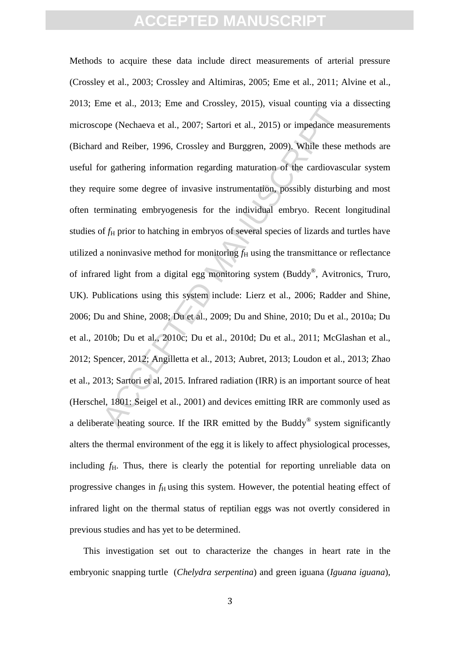the event, 2012, 2016 and 200369, 2019, 106an eventually 7as<br>ppe (Nechaeva et al., 2007; Sartori et al., 2015) or impedance m<br>and Reiber, 1996, Crossley and Burggren, 2009). While these<br>or gathering information regarding Methods to acquire these data include direct measurements of arterial pressure (Crossley et al., 2003; Crossley and Altimiras, 2005; Eme et al., 2011; Alvine et al., 2013; Eme et al., 2013; Eme and Crossley, 2015), visual counting via a dissecting microscope (Nechaeva et al., 2007; Sartori et al., 2015) or impedance measurements (Bichard and Reiber, 1996, Crossley and Burggren, 2009). While these methods are useful for gathering information regarding maturation of the cardiovascular system they require some degree of invasive instrumentation, possibly disturbing and most often terminating embryogenesis for the individual embryo. Recent longitudinal studies of  $f_H$  prior to hatching in embryos of several species of lizards and turtles have utilized a noninvasive method for monitoring  $f<sub>H</sub>$  using the transmittance or reflectance of infrared light from a digital egg monitoring system (Buddy®, Avitronics, Truro, UK). Publications using this system include: Lierz et al., 2006; Radder and Shine, 2006; Du and Shine, 2008; Du et al., 2009; Du and Shine, 2010; Du et al., 2010a; Du et al., 2010b; Du et al., 2010c; Du et al., 2010d; Du et al., 2011; McGlashan et al., 2012; Spencer, 2012; Angilletta et al., 2013; Aubret, 2013; Loudon et al., 2013; Zhao et al., 2013; Sartori et al, 2015. Infrared radiation (IRR) is an important source of heat (Herschel, 1801: Seigel et al., 2001) and devices emitting IRR are commonly used as a deliberate heating source. If the IRR emitted by the Buddy<sup>®</sup> system significantly alters the thermal environment of the egg it is likely to affect physiological processes, including  $f_{\rm H}$ . Thus, there is clearly the potential for reporting unreliable data on progressive changes in  $f_H$  using this system. However, the potential heating effect of infrared light on the thermal status of reptilian eggs was not overtly considered in previous studies and has yet to be determined.

This investigation set out to characterize the changes in heart rate in the embryonic snapping turtle (*Chelydra serpentina*) and green iguana (*Iguana iguana*),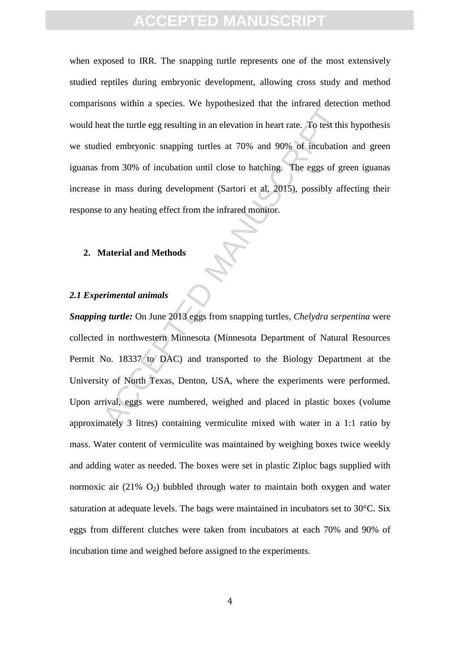when exposed to IRR. The snapping turtle represents one of the most extensively studied reptiles during embryonic development, allowing cross study and method comparisons within a species. We hypothesized that the infrared detection method would heat the turtle egg resulting in an elevation in heart rate. To test this hypothesis we studied embryonic snapping turtles at 70% and 90% of incubation and green iguanas from 30% of incubation until close to hatching. The eggs of green iguanas increase in mass during development (Sartori et al, 2015), possibly affecting their response to any heating effect from the infrared monitor.

### **2. Material and Methods**

### *2.1 Experimental animals*

Example the time and the appearance that the intrace decessed the time of the analytical entire and the eigenvalue of the eigenvalue of the eigenvalue of the eigenvalue of the eigenvalue of the eigenvalue of the eigenvalue *Snapping turtle:* On June 2013 eggs from snapping turtles, *Chelydra serpentina* were collected in northwestern Minnesota (Minnesota Department of Natural Resources Permit No. 18337 to DAC) and transported to the Biology Department at the University of North Texas, Denton, USA, where the experiments were performed. Upon arrival, eggs were numbered, weighed and placed in plastic boxes (volume approximately 3 litres) containing vermiculite mixed with water in a 1:1 ratio by mass. Water content of vermiculite was maintained by weighing boxes twice weekly and adding water as needed. The boxes were set in plastic Ziploc bags supplied with normoxic air  $(21\% \text{ O}_2)$  bubbled through water to maintain both oxygen and water saturation at adequate levels. The bags were maintained in incubators set to 30°C. Six eggs from different clutches were taken from incubators at each 70% and 90% of incubation time and weighed before assigned to the experiments.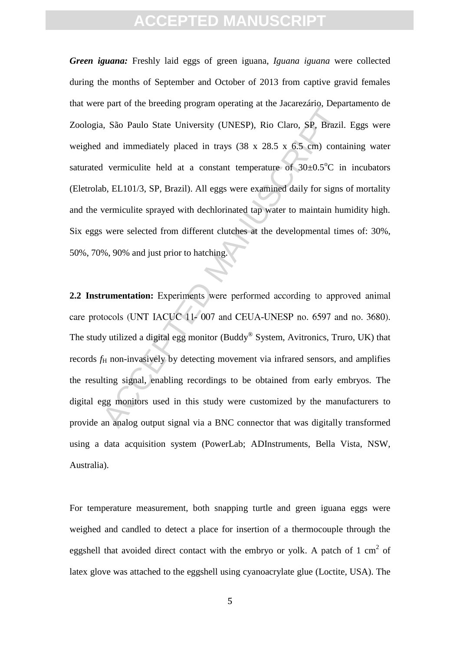at the electromagnetic program operating at the electromated program.<br>
A, São Paulo State University (UNESP), Rio Claro, SP, Brazil.<br>
and immediately placed in trays (38 x 28.5 x 6.5 cm) conta<br>
1 vermiculite held at a con *Green iguana:* Freshly laid eggs of green iguana, *Iguana iguana* were collected during the months of September and October of 2013 from captive gravid females that were part of the breeding program operating at the Jacarezário, Departamento de Zoologia, São Paulo State University (UNESP), Rio Claro, SP, Brazil. Eggs were weighed and immediately placed in trays (38 x 28.5 x 6.5 cm) containing water saturated vermiculite held at a constant temperature of  $30\pm0.5^{\circ}$ C in incubators (Eletrolab, EL101/3, SP, Brazil). All eggs were examined daily for signs of mortality and the vermiculite sprayed with dechlorinated tap water to maintain humidity high. Six eggs were selected from different clutches at the developmental times of: 30%, 50%, 70%, 90% and just prior to hatching.

2.2 **Instrumentation:** Experiments were performed according to approved animal The study utilized a digital egg monitor (Buddy® System, Avitronics, Truro, UK) that records  $f<sub>H</sub>$  non-invasively by detecting movement via infrared sensors, and amplifies the resulting signal, enabling recordings to be obtained from early embryos. The digital egg monitors used in this study were customized by the manufacturers to provide an analog output signal via a BNC connector that was digitally transformed using a data acquisition system (PowerLab; ADInstruments, Bella Vista, NSW, Australia).

For temperature measurement, both snapping turtle and green iguana eggs were weighed and candled to detect a place for insertion of a thermocouple through the eggshell that avoided direct contact with the embryo or yolk. A patch of 1 cm<sup>2</sup> of latex glove was attached to the eggshell using cyanoacrylate glue (Loctite, USA). The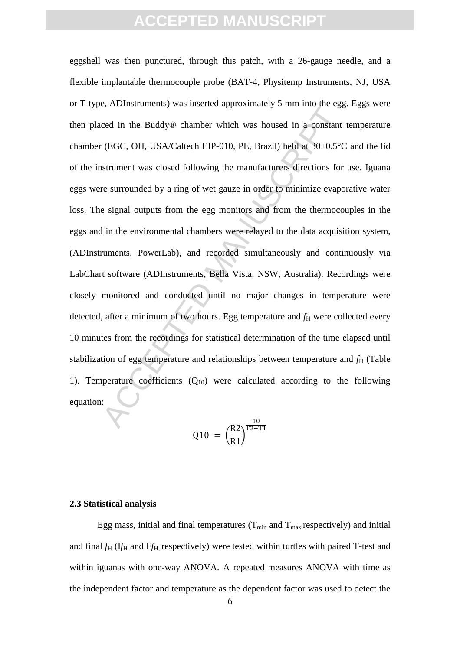Accordingly that the Buddy® chamber which was housed in a constant<br>ced in the Buddy® chamber which was housed in a constant<br>(EGC, OH, USA/Caltech EIP-010, PE, Brazil) held at 30±0.5°C<br>strument was closed following the man eggshell was then punctured, through this patch, with a 26-gauge needle, and a flexible implantable thermocouple probe (BAT-4, Physitemp Instruments, NJ, USA or T-type, ADInstruments) was inserted approximately 5 mm into the egg. Eggs were then placed in the Buddy® chamber which was housed in a constant temperature chamber (EGC, OH, USA/Caltech EIP-010, PE, Brazil) held at 30±0.5°C and the lid of the instrument was closed following the manufacturers directions for use. Iguana eggs were surrounded by a ring of wet gauze in order to minimize evaporative water loss. The signal outputs from the egg monitors and from the thermocouples in the eggs and in the environmental chambers were relayed to the data acquisition system, (ADInstruments, PowerLab), and recorded simultaneously and continuously via LabChart software (ADInstruments, Bella Vista, NSW, Australia). Recordings were closely monitored and conducted until no major changes in temperature were detected, after a minimum of two hours. Egg temperature and  $f<sub>H</sub>$  were collected every 10 minutes from the recordings for statistical determination of the time elapsed until stabilization of egg temperature and relationships between temperature and  $f<sub>H</sub>$  (Table 1). Temperature coefficients  $(Q_{10})$  were calculated according to the following equation:

$$
Q10 = \left(\frac{R2}{R1}\right)^{\frac{10}{T2-T}}
$$

### **2.3 Statistical analysis**

Egg mass, initial and final temperatures ( $T_{min}$  and  $T_{max}$  respectively) and initial and final  $f_H$  (I $f_H$  and F $f_H$ , respectively) were tested within turtles with paired T-test and within iguanas with one-way ANOVA. A repeated measures ANOVA with time as the independent factor and temperature as the dependent factor was used to detect the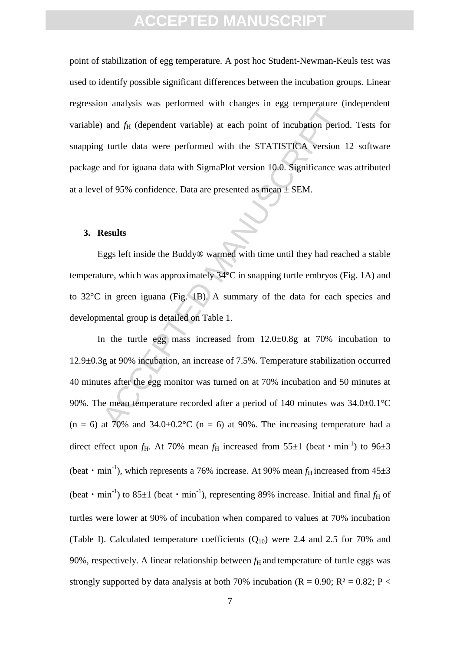point of stabilization of egg temperature. A post hoc Student-Newman-Keuls test was used to identify possible significant differences between the incubation groups. Linear regression analysis was performed with changes in egg temperature (independent variable) and  $f$ H (dependent variable) at each point of incubation period. Tests for snapping turtle data were performed with the STATISTICA version 12 software package and for iguana data with SigmaPlot version 10.0. Significance was attributed at a level of 95% confidence. Data are presented as mean  $\pm$  SEM.

#### **3. Results**

Eggs left inside the Buddy® warmed with time until they had reached a stable temperature, which was approximately 34°C in snapping turtle embryos (Fig. 1A) and to 32°C in green iguana (Fig. 1B). A summary of the data for each species and developmental group is detailed on Table 1.

An alternative what variable) at each point of incubation period and  $f_H$  (dependent variable) at each point of incubation period is turtle data were performed with the STATISTICA version and for iguana data with SigmaPlo In the turtle egg mass increased from  $12.0 \pm 0.8$ g at 70% incubation to 12.9±0.3g at 90% incubation, an increase of 7.5%. Temperature stabilization occurred 40 minutes after the egg monitor was turned on at 70% incubation and 50 minutes at 90%. The mean temperature recorded after a period of 140 minutes was 34.0±0.1°C  $(n = 6)$  at 70% and 34.0±0.2°C  $(n = 6)$  at 90%. The increasing temperature had a direct effect upon  $f_H$ . At 70% mean  $f_H$  increased from 55 $\pm 1$  (beat  $\cdot$  min<sup>-1</sup>) to 96 $\pm 3$ (beat  $\cdot$  min<sup>-1</sup>), which represents a 76% increase. At 90% mean  $f_H$  increased from 45 $\pm$ 3 (beat  $\cdot$  min<sup>-1</sup>) to 85 $\pm$ 1 (beat  $\cdot$  min<sup>-1</sup>), representing 89% increase. Initial and final  $f_H$  of turtles were lower at 90% of incubation when compared to values at 70% incubation (Table I). Calculated temperature coefficients  $(Q_{10})$  were 2.4 and 2.5 for 70% and 90%, respectively. A linear relationship between  $f<sub>H</sub>$  and temperature of turtle eggs was strongly supported by data analysis at both 70% incubation ( $R = 0.90$ ;  $R^2 = 0.82$ ;  $P <$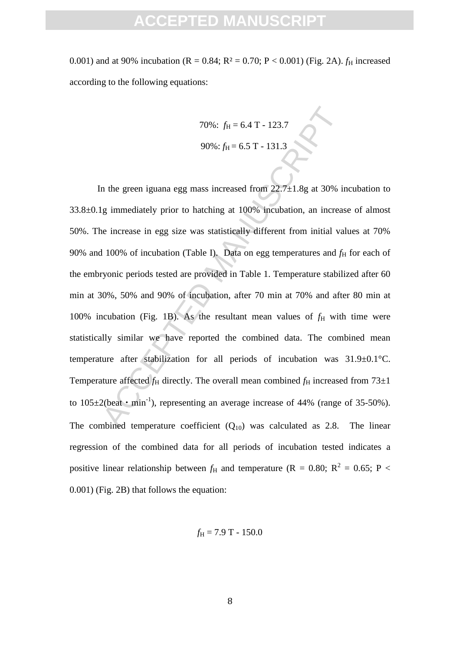0.001) and at 90% incubation (R = 0.84; R<sup>2</sup> = 0.70; P < 0.001) (Fig. 2A).  $f_H$  increased according to the following equations:

70%: 
$$
f_{\text{H}} = 6.4 \text{ T} - 123.7
$$
  
90%:  $f_{\text{H}} = 6.5 \text{ T} - 131.3$ 

70%:  $f_{\text{H}} = 6.4 \text{ T} \cdot 123.7$ <br>90%:  $f_{\text{H}} = 6.5 \text{ T} \cdot 131.3$ <br>90%:  $f_{\text{H}} = 6.5 \text{ T} \cdot 131.3$ <br>1 m the green iguana egg mass increased from 22.7±1.8g at 30% is<br>1 mmediately prior to hatching at 100% incubation, an inc In the green iguana egg mass increased from  $22.7 \pm 1.8$ g at 30% incubation to 33.8±0.1g immediately prior to hatching at 100% incubation, an increase of almost 50%. The increase in egg size was statistically different from initial values at 70% 90% and 100% of incubation (Table I). Data on egg temperatures and  $f_H$  for each of the embryonic periods tested are provided in Table 1. Temperature stabilized after 60 min at 30%, 50% and 90% of incubation, after 70 min at 70% and after 80 min at 100% incubation (Fig. 1B). As the resultant mean values of  $f_H$  with time were statistically similar we have reported the combined data. The combined mean temperature after stabilization for all periods of incubation was 31.9±0.1°C. Temperature affected  $f_H$  directly. The overall mean combined  $f_H$  increased from  $73\pm1$ to  $105 \pm 2$ (beat • min<sup>-1</sup>), representing an average increase of 44% (range of 35-50%). The combined temperature coefficient  $(Q_{10})$  was calculated as 2.8. The linear regression of the combined data for all periods of incubation tested indicates a positive linear relationship between  $f_H$  and temperature (R = 0.80; R<sup>2</sup> = 0.65; P < 0.001) (Fig. 2B) that follows the equation:

$$
f_{\rm H} = 7.9 \text{ T} - 150.0
$$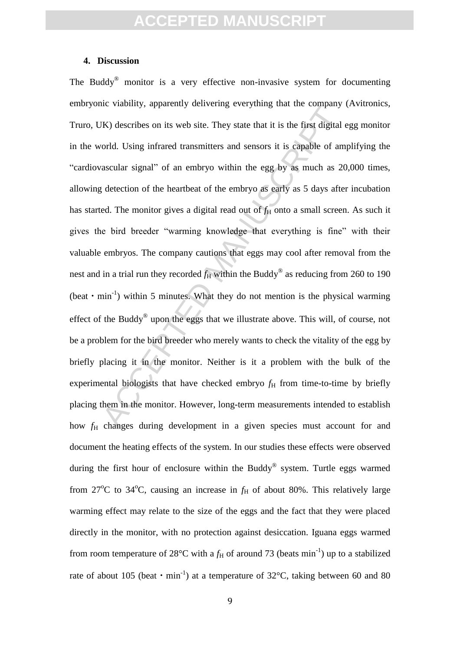#### **4. Discussion**

EVALUATE: The state of the state of the state of the state of the state of the state of the state digital orld. Using infrared transmitters and sensors it is capable of am ascular signal" of an embryo within the egg by as The Buddy $^{\circledR}$  monitor is a very effective non-invasive system for documenting embryonic viability, apparently delivering everything that the company (Avitronics, Truro, UK) describes on its web site. They state that it is the first digital egg monitor in the world. Using infrared transmitters and sensors it is capable of amplifying the "cardiovascular signal" of an embryo within the egg by as much as 20,000 times, allowing detection of the heartbeat of the embryo as early as 5 days after incubation has started. The monitor gives a digital read out of  $f<sub>H</sub>$  onto a small screen. As such it gives the bird breeder "warming knowledge that everything is fine" with their valuable embryos. The company cautions that eggs may cool after removal from the nest and in a trial run they recorded  $f_H$  within the Buddy<sup>®</sup> as reducing from 260 to 190 (beat  $\cdot$  min<sup>-1</sup>) within 5 minutes. What they do not mention is the physical warming effect of the Buddy<sup>®</sup> upon the eggs that we illustrate above. This will, of course, not be a problem for the bird breeder who merely wants to check the vitality of the egg by briefly placing it in the monitor. Neither is it a problem with the bulk of the experimental biologists that have checked embryo  $f<sub>H</sub>$  from time-to-time by briefly placing them in the monitor. However, long-term measurements intended to establish how *f*<sub>H</sub> changes during development in a given species must account for and document the heating effects of the system. In our studies these effects were observed during the first hour of enclosure within the Buddy® system. Turtle eggs warmed from  $27^{\circ}$ C to  $34^{\circ}$ C, causing an increase in  $f_H$  of about 80%. This relatively large warming effect may relate to the size of the eggs and the fact that they were placed directly in the monitor, with no protection against desiccation. Iguana eggs warmed from room temperature of 28<sup>o</sup>C with a  $f_H$  of around 73 (beats min<sup>-1</sup>) up to a stabilized rate of about 105 (beat  $\cdot$  min<sup>-1</sup>) at a temperature of 32°C, taking between 60 and 80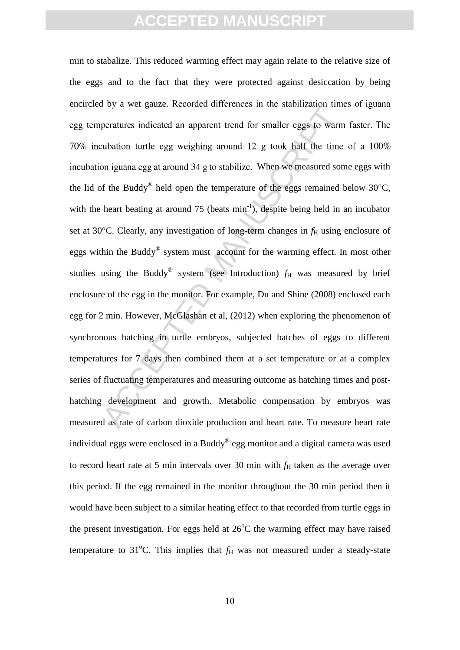by a not galaxi recented anticulated in the sales incrementation inter-<br>peratures indicated an apparent trend for smaller eggs to warm<br>ubation turtle egg weighing around 12 g took half the time<br>on iguana egg at around 34 min to stabalize. This reduced warming effect may again relate to the relative size of the eggs and to the fact that they were protected against desiccation by being encircled by a wet gauze. Recorded differences in the stabilization times of iguana incubation iguana egg at around 34 g to stabilize. When we measured some eggs with the lid of the Buddy<sup>®</sup> held open the temperature of the eggs remained below 30 $^{\circ}$ C, with the heart beating at around  $75$  (beats  $min^{-1}$ ), despite being held in an incubator set at 30°C. Clearly, any investigation of long-term changes in  $f_H$  using enclosure of eggs within the Buddy® system must account for the warming effect. In most other studies using the Buddy<sup>®</sup> system (see Introduction)  $f_H$  was measured by brief enclosure of the egg in the monitor. For example, Du and Shine (2008) enclosed each egg for 2 min. However, McGlashan et al, (2012) when exploring the phenomenon of synchronous hatching in turtle embryos, subjected batches of eggs to different temperatures for 7 days then combined them at a set temperature or at a complex series of fluctuating temperatures and measuring outcome as hatching times and posthatching development and growth. Metabolic compensation by embryos was measured as rate of carbon dioxide production and heart rate. To measure heart rate individual eggs were enclosed in a Buddy® egg monitor and a digital camera was used to record heart rate at 5 min intervals over 30 min with  $f<sub>H</sub>$  taken as the average over this period. If the egg remained in the monitor throughout the 30 min period then it would have been subject to a similar heating effect to that recorded from turtle eggs in the present investigation. For eggs held at  $26^{\circ}$ C the warming effect may have raised temperature to 31<sup>o</sup>C. This implies that  $f<sub>H</sub>$  was not measured under a steady-state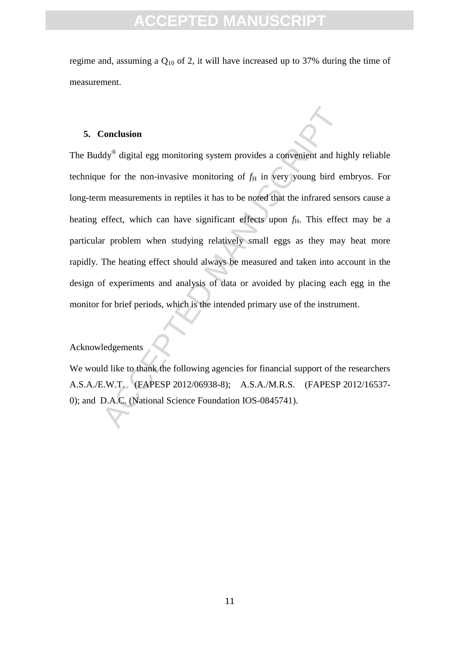regime and, assuming a Q<sup>10</sup> of 2, it will have increased up to 37% during the time of measurement.

### **5. Conclusion**

Conclusion<br>
Mologonary digital egg monitoring system provides a convenient and hige<br>
for the non-invasive monitoring of  $f_H$  in very young bird en<br>
measurements in reptiles it has to be noted that the infrared sen<br>
effect The Buddy® digital egg monitoring system provides a convenient and highly reliable technique for the non-invasive monitoring of  $f<sub>H</sub>$  in very young bird embryos. For long-term measurements in reptiles it has to be noted that the infrared sensors cause a heating effect, which can have significant effects upon  $f<sub>H</sub>$ . This effect may be a particular problem when studying relatively small eggs as they may heat more rapidly. The heating effect should always be measured and taken into account in the design of experiments and analysis of data or avoided by placing each egg in the monitor for brief periods, which is the intended primary use of the instrument.

### Acknowledgements

We would like to thank the following agencies for financial support of the researchers A.S.A./E.W.T. (FAPESP 2012/06938-8); A.S.A./M.R.S. (FAPESP 2012/16537- 0); and D.A.C. (National Science Foundation IOS-0845741).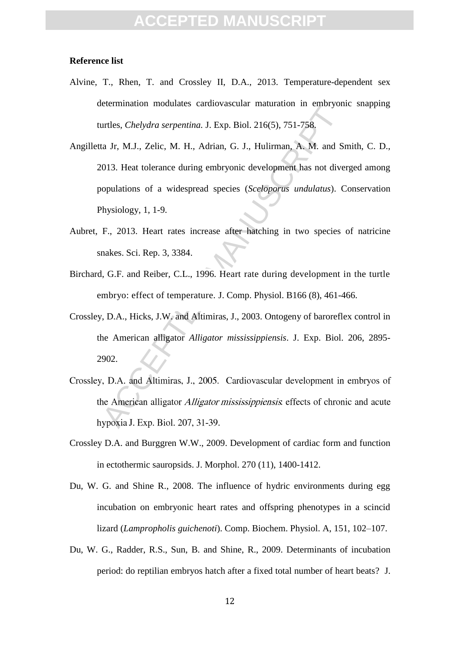# **CCEPTED MANUS**

### **Reference list**

- Alvine, T., Rhen, T. and Crossley II, D.A., 2013. Temperature-dependent sex determination modulates cardiovascular maturation in embryonic snapping turtles, *Chelydra serpentina.* J. Exp. Biol. 216(5), 751-758.
- Manuscal metastase cando ascenar metastacis in emisyon<br>urtles, *Chelydra serpentina*. J. Exp. Biol. 216(5), 751-758,<br>ta Jr, M.J., Zelic, M. H., Adrian, G. J., Hulirman, A. M. and S.<br>013. Heat tolerance during embryonic dev Angilletta Jr, M.J., Zelic, M. H., Adrian, G. J., Hulirman, A. M. and Smith, C. D., 2013. Heat tolerance during embryonic development has not diverged among populations of a widespread species (*Sceloporus undulatus*). Conservation Physiology, 1, 1-9.
- Aubret, F., 2013. Heart rates increase after hatching in two species of natricine snakes. Sci. Rep. 3, 3384.
- Birchard, G.F. and Reiber, C.L., 1996. Heart rate during development in the turtle embryo: effect of temperature. J. Comp. Physiol. B166 (8), 461-466.
- Crossley, D.A., Hicks, J.W. and Altimiras, J., 2003. Ontogeny of baroreflex control in the American alligator *Alligator mississippiensis*. J. Exp. Biol. 206, 2895- 2902.
- 
- Crossley D.A. and Burggren W.W., 2009. Development of cardiac form and function in ectothermic sauropsids. J. Morphol. 270 (11), 1400-1412.
- Du, W. G. and Shine R., 2008. The influence of hydric environments during egg incubation on embryonic heart rates and offspring phenotypes in a scincid lizard (*Lampropholis guichenoti*). Comp. Biochem. Physiol. A, 151, 102–107.
- Du, W. G., Radder, R.S., Sun, B. and Shine, R., 2009. Determinants of incubation period: do reptilian embryos hatch after a fixed total number of heart beats? J.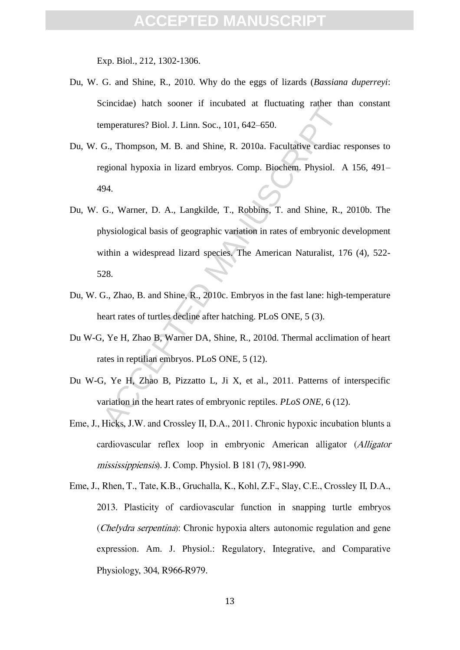Exp. Biol., 212, 1302-1306.

- Du, W. G. and Shine, R., 2010. Why do the eggs of lizards (*Bassiana duperreyi*: Scincidae) hatch sooner if incubated at fluctuating rather than constant temperatures? Biol. J. Linn. Soc., 101, 642–650.
- Du, W. G., Thompson, M. B. and Shine, R. 2010a. Facultative cardiac responses to regional hypoxia in lizard embryos. Comp. Biochem. Physiol. A 156, 491– 494.
- Emperatures? Biol. J. Linn. Soc., 101, 642–650.<br>
G., Thompson, M. B. and Shine, R. 2010a. Facultative cardiac is<br>
egional hypoxia in lizard embryos. Comp. Biochem, Physiol. 4<br>
94.<br>
G., Warner, D. A., Langkilde, T., Robbins Du, W. G., Warner, D. A., Langkilde, T., Robbins, T. and Shine, R., 2010b. The physiological basis of geographic variation in rates of embryonic development within a widespread lizard species. The American Naturalist, 176 (4), 522- 528.
- Du, W. G., Zhao, B. and Shine, R., 2010c. Embryos in the fast lane: high-temperature heart rates of turtles decline after hatching. PLoS ONE, 5 (3).
- Du W-G, Ye H, Zhao B, Warner DA, Shine, R., 2010d. Thermal acclimation of heart rates in reptilian embryos. PLoS ONE, 5 (12).
- Du W-G, Ye H, Zhao B, Pizzatto L, Ji X, et al., 2011. Patterns of interspecific variation in the heart rates of embryonic reptiles. *PLoS ONE*, 6 (12).
- cardiovascular reflex loop in embryonic American alligator (Alligator mississippiensis). J. Comp. Physiol. B 181 (7), 981-990.
- Eme, J., Rhen, T., Tate, K.B., Gruchalla, K., Kohl, Z.F., Slay, C.E., Crossley II, D.A., 2013. Plasticity of cardiovascular function in snapping turtle embryos (*Chelydra serpentina*): Chronic hypoxia alters autonomic regulation and gene expression. Am. J. Physiol.: Regulatory, Integrative, and Comparative Physiology, 304, R966-R979.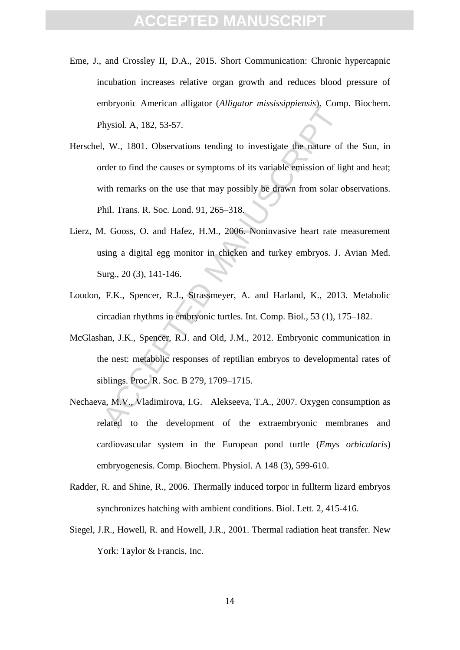- Eme, J., and Crossley II, D.A., 2015. Short Communication: Chronic hypercapnic incubation increases relative organ growth and reduces blood pressure of embryonic American alligator (*Alligator mississippiensis*). Comp. Biochem. Physiol. A, 182, 53-57.
- metrical angular (metrical metrics), complete the solid physiol. A, 182, 53-57.<br>
I, W., 1801. Observations tending to investigate the nature of<br>
rder to find the causes or symptoms of its variable emission of light<br>
with r Herschel, W., 1801. Observations tending to investigate the nature of the Sun, in order to find the causes or symptoms of its variable emission of light and heat; with remarks on the use that may possibly be drawn from solar observations. Phil. Trans. R. Soc. Lond. 91, 265–318.
- Lierz, M. Gooss, O. and Hafez, H.M., 2006. Noninvasive heart rate measurement using a digital egg monitor in chicken and turkey embryos. J. Avian Med. Surg*.*, 20 (3), 141-146.
- Loudon, F.K., Spencer, R.J., Strassmeyer, A. and Harland, K., 2013. Metabolic circadian rhythms in embryonic turtles. Int. Comp. Biol., 53 (1), 175–182.
- McGlashan, J.K., Spencer, R.J. and Old, J.M., 2012. Embryonic communication in the nest: metabolic responses of reptilian embryos to developmental rates of siblings. Proc. R. Soc. B 279, 1709–1715.
- Nechaeva, M.V., Vladimirova, I.G. Alekseeva, T.A., 2007. Oxygen consumption as related to the development of the extraembryonic membranes and cardiovascular system in the European pond turtle (*Emys orbicularis*) embryogenesis. Comp. Biochem. Physiol. A 148 (3), 599-610.
- Radder, R. and Shine, R., 2006. Thermally induced torpor in fullterm lizard embryos synchronizes hatching with ambient conditions. Biol. Lett. 2, 415-416.
- Siegel, J.R., Howell, R. and Howell, J.R., 2001. Thermal radiation heat transfer. New York: Taylor & Francis, Inc.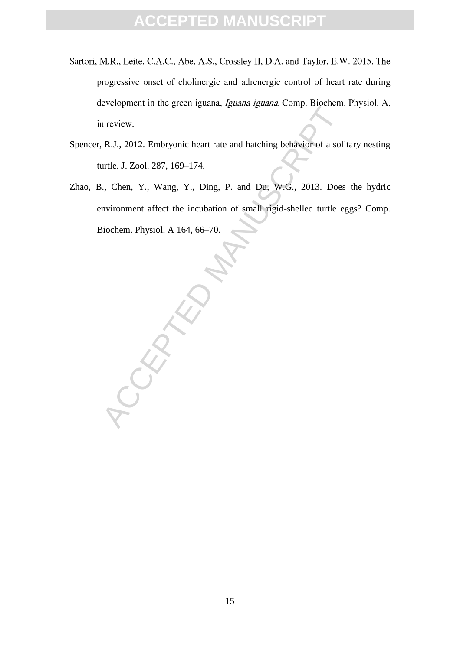- Sartori, M.R., Leite, C.A.C., Abe, A.S., Crossley II, D.A. and Taylor, E.W. 2015. The progressive onset of cholinergic and adrenergic control of heart rate during
- Spencer, R.J., 2012. Embryonic heart rate and hatching behavior of a solitary nesting turtle. J. Zool. 287, 169–174.
- Zhao, B., Chen, Y., Wang, Y., Ding, P. and Du, W.G., 2013. Does the hydric environment affect the incubation of small rigid-shelled turtle eggs? Comp. Biochem. Physiol. A 164, 66–70.

development in the green iguana, *Iguana iguana*. Comp. Biochem. Physiol. A, in review.<br>
I, R.J., 2012. Embryonic heart rate and hatching behavior of a solitary nesting<br>
turtle. J. Zool. 287, 169–174.<br>
B., Chen, Y., Wang,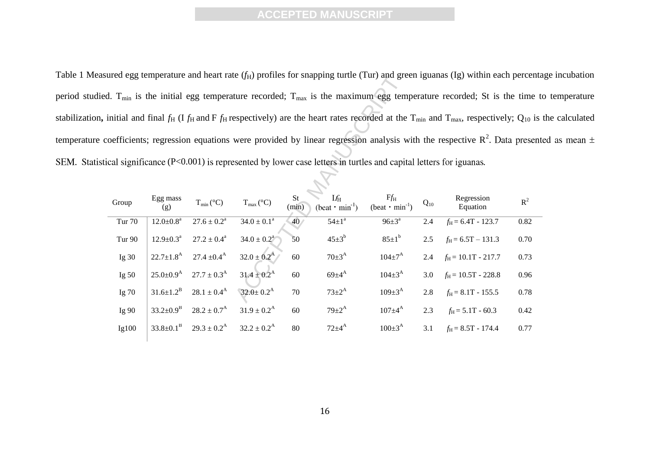Table 1 Measured egg temperature and heart rate  $(f_H)$  profiles for snapping turtle (Tur) and green iguanas (Ig) within each percentage incubation period studied.  $T_{min}$  is the initial egg temperature recorded;  $T_{max}$  is the maximum egg temperature recorded; St is the time to temperature stabilization, initial and final  $f_H$  (I  $f_H$  and F  $f_H$  respectively) are the heart rates recorded at the  $T_{min}$  and  $T_{max}$ , respectively;  $Q_{10}$  is the calculated temperature coefficients; regression equations were provided by linear regression analysis with the respective  $R^2$ . Data presented as mean  $\pm$ SEM. Statistical significance (P<0.001) is represented by lower case letters in turtles and capital letters for iguanas.

| ired egg temperature and neart rate (/H) profiles for snapping turtle (Tur) and green iguanas (Ig) within each percenta                           |                             |                           |                             |             |                                            |                                   |          |                             |                |
|---------------------------------------------------------------------------------------------------------------------------------------------------|-----------------------------|---------------------------|-----------------------------|-------------|--------------------------------------------|-----------------------------------|----------|-----------------------------|----------------|
| l. T <sub>min</sub> is the initial egg temperature recorded; T <sub>max</sub> is the maximum egg temperature recorded; St is the time t           |                             |                           |                             |             |                                            |                                   |          |                             |                |
| nitial and final $f_H$ (I $f_H$ and F $f_H$ respectively) are the heart rates recorded at the $T_{min}$ and $T_{max}$ , respectively; $Q_{10}$ is |                             |                           |                             |             |                                            |                                   |          |                             |                |
| befficients; regression equations were provided by linear regression analysis with the respective $\mathbb{R}^2$ . Data present                   |                             |                           |                             |             |                                            |                                   |          |                             |                |
| cal significance $(P<0.001)$ is represented by lower case letters in turtles and capital letters for iguanas.                                     |                             |                           |                             |             |                                            |                                   |          |                             |                |
|                                                                                                                                                   |                             |                           |                             |             |                                            |                                   |          |                             |                |
| Group                                                                                                                                             | Egg mass<br>(g)             | $T_{min} (^{\circ}C)$     | $T_{max} (^{\circ}C)$       | St<br>(min) | If <sub>H</sub><br>$(beat \cdot min^{-1})$ | $Ff_H$<br>$(beat \cdot min^{-1})$ | $Q_{10}$ | Regression<br>Equation      | $\mathbb{R}^2$ |
| <b>Tur 70</b>                                                                                                                                     | $12.0 \pm 0.8^a$            | $27.6 \pm 0.2^a$          | $34.0 \pm 0.1^a$            | 40/         | $54 \pm 1^a$                               | $96 \pm 3^{\text{a}}$             | 2.4      | $f_{\rm H}$ = 6.4T - 123.7  | 0.82           |
| <b>Tur 90</b>                                                                                                                                     | $12.9 \pm 0.3^a$            | $27.2 \pm 0.4^a$          | $34.0 \pm 0.2$ <sup>a</sup> | 50          | $45 \pm 3^{b}$                             | $85 \pm 1^b$                      | 2.5      | $f_H = 6.5T - 131.3$        | 0.70           |
| Ig $30$                                                                                                                                           | $22.7 \pm 1.8$ <sup>A</sup> | $27.4 \pm 0.4^{\text{A}}$ | $32.0 \pm 0.2^{\rm A}$      | 60          | $70\pm3^{\rm A}$                           | $104 \pm 7^{\rm A}$               | 2.4      | $f_{\rm H}$ = 10.1T - 217.7 | 0.73           |
| Ig $50$                                                                                                                                           | $25.0 \pm 0.9$ <sup>A</sup> | $27.7 \pm 0.3^{\rm A}$    | $31.4 \pm 0.2^{\rm A}$      | 60          | $69{\pm}4^{A}$                             | $104 \pm 3^{A}$                   | 3.0      | $f_H$ = 10.5T - 228.8       | 0.96           |
| Ig 70                                                                                                                                             | $31.6 \pm 1.2^B$            | $28.1 \pm 0.4^{\rm A}$    | $32.0 \pm 0.2^{\text{A}}$   | 70          | $73 \pm 2^{\rm A}$                         | $109 \pm 3^{A}$                   | 2.8      | $f_{\rm H}$ = 8.1T - 155.5  | 0.78           |
| Ig 90                                                                                                                                             | $33.2 \pm 0.9^{\rm B}$      | $28.2 \pm 0.7^{\rm A}$    | $31.9 \pm 0.2^{\rm A}$      | 60          | $79 \pm 2^{A}$                             | $107 \pm 4^{\rm A}$               | 2.3      | $f_{\rm H}$ = 5.1T - 60.3   | 0.42           |
| Ig100                                                                                                                                             | $33.8 \pm 0.1^{\rm B}$      | $29.3 \pm 0.2^{\rm A}$    | $32.2 \pm 0.2^{\rm A}$      | 80          | $72\pm4^{\rm A}$                           | $100 \pm 3^{A}$                   | 3.1      | $f_H = 8.5T - 174.4$        | 0.77           |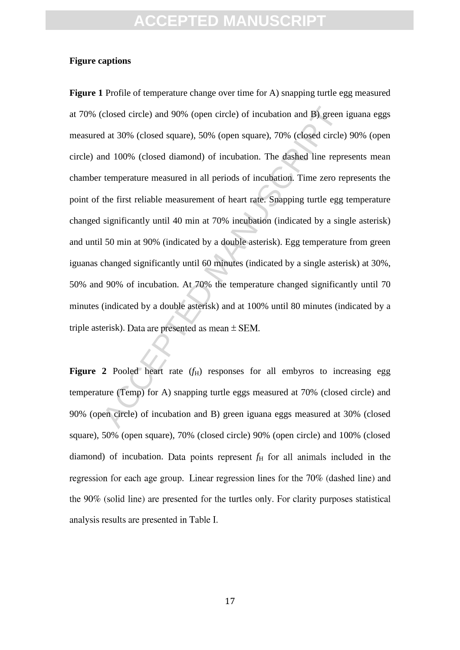### **Figure captions**

closed circle) and 90% (open circle) of incubation and B) green<br>d at 30% (closed square), 50% (open square), 70% (closed circle]<br>md 100% (closed diamond) of incubation. The dashed line repr<br>temperature measured in all per **Figure 1** Profile of temperature change over time for A) snapping turtle egg measured at 70% (closed circle) and 90% (open circle) of incubation and B) green iguana eggs measured at 30% (closed square), 50% (open square), 70% (closed circle) 90% (open circle) and 100% (closed diamond) of incubation. The dashed line represents mean chamber temperature measured in all periods of incubation. Time zero represents the point of the first reliable measurement of heart rate. Snapping turtle egg temperature changed significantly until 40 min at 70% incubation (indicated by a single asterisk) and until 50 min at 90% (indicated by a double asterisk). Egg temperature from green iguanas changed significantly until 60 minutes (indicated by a single asterisk) at 30%, 50% and 90% of incubation. At 70% the temperature changed significantly until 70 minutes (indicated by a double asterisk) and at 100% until 80 minutes (indicated by a triple asterisk). Data are presented as mean  $\pm$  SEM.

**Figure 2** Pooled heart rate  $(f<sub>H</sub>)$  responses for all embyros to increasing egg temperature (Temp) for A) snapping turtle eggs measured at 70% (closed circle) and 90% (open circle) of incubation and B) green iguana eggs measured at 30% (closed square), 50% (open square), 70% (closed circle) 90% (open circle) and 100% (closed diamond) of incubation. Data points represent  $f<sub>H</sub>$  for all animals included in the regression for each age group. Linear regression lines for the 70% (dashed line) and the 90% (solid line) are presented for the turtles only. For clarity purposes statistical analysis results are presented in Table I.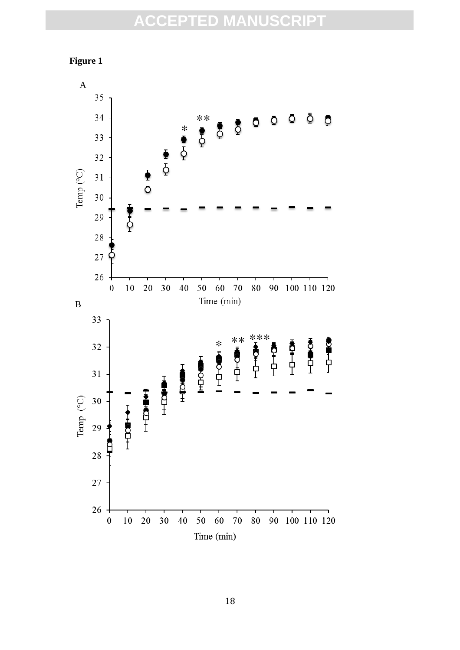